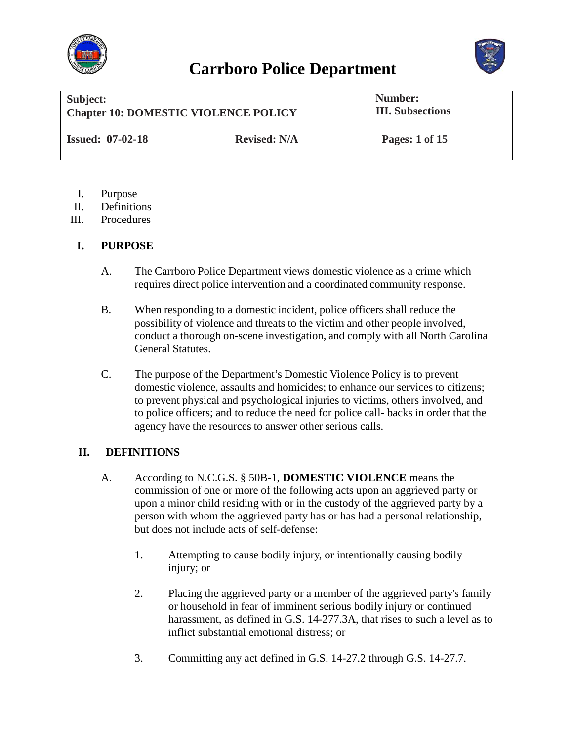



| Subject:<br><b>Chapter 10: DOMESTIC VIOLENCE POLICY</b> |                     | Number:<br><b>III.</b> Subsections |
|---------------------------------------------------------|---------------------|------------------------------------|
| <b>Issued: 07-02-18</b>                                 | <b>Revised: N/A</b> | Pages: 1 of 15                     |

- I. Purpose
- II. Definitions
- III. Procedures

#### **I. PURPOSE**

- A. The Carrboro Police Department views domestic violence as a crime which requires direct police intervention and a coordinated community response.
- B. When responding to a domestic incident, police officers shall reduce the possibility of violence and threats to the victim and other people involved, conduct a thorough on-scene investigation, and comply with all North Carolina General Statutes.
- C. The purpose of the Department's Domestic Violence Policy is to prevent domestic violence, assaults and homicides; to enhance our services to citizens; to prevent physical and psychological injuries to victims, others involved, and to police officers; and to reduce the need for police call- backs in order that the agency have the resources to answer other serious calls.

#### **II. DEFINITIONS**

- A. According to N.C.G.S. § 50B-1, **DOMESTIC VIOLENCE** means the commission of one or more of the following acts upon an aggrieved party or upon a minor child residing with or in the custody of the aggrieved party by a person with whom the aggrieved party has or has had a personal relationship, but does not include acts of self-defense:
	- 1. Attempting to cause bodily injury, or intentionally causing bodily injury; or
	- 2. Placing the aggrieved party or a member of the aggrieved party's family or household in fear of imminent serious bodily injury or continued harassment, as defined in G.S. 14-277.3A, that rises to such a level as to inflict substantial emotional distress; or
	- 3. Committing any act defined in G.S. 14-27.2 through G.S. 14-27.7.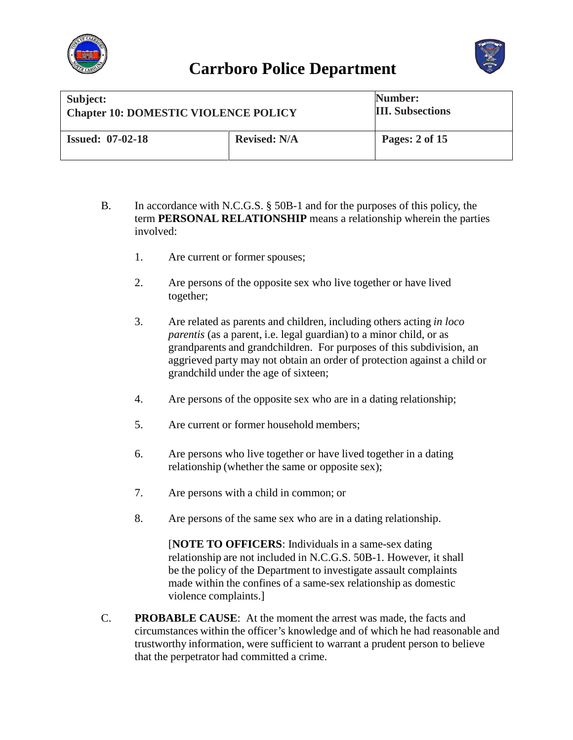



| Subject:                                    |                     | Number:                 |
|---------------------------------------------|---------------------|-------------------------|
| <b>Chapter 10: DOMESTIC VIOLENCE POLICY</b> |                     | <b>III.</b> Subsections |
| <b>Issued: 07-02-18</b>                     | <b>Revised: N/A</b> | Pages: 2 of 15          |

- B. In accordance with N.C.G.S. § 50B-1 and for the purposes of this policy, the term **PERSONAL RELATIONSHIP** means a relationship wherein the parties involved:
	- 1. Are current or former spouses;
	- 2. Are persons of the opposite sex who live together or have lived together;
	- 3. Are related as parents and children, including others acting *in loco parentis* (as a parent, i.e. legal guardian) to a minor child, or as grandparents and grandchildren. For purposes of this subdivision, an aggrieved party may not obtain an order of protection against a child or grandchild under the age of sixteen;
	- 4. Are persons of the opposite sex who are in a dating relationship;
	- 5. Are current or former household members;
	- 6. Are persons who live together or have lived together in a dating relationship (whether the same or opposite sex);
	- 7. Are persons with a child in common; or
	- 8. Are persons of the same sex who are in a dating relationship.

[**NOTE TO OFFICERS**: Individuals in a same-sex dating relationship are not included in N.C.G.S. 50B-1. However, it shall be the policy of the Department to investigate assault complaints made within the confines of a same-sex relationship as domestic violence complaints.]

C. **PROBABLE CAUSE**: At the moment the arrest was made, the facts and circumstances within the officer's knowledge and of which he had reasonable and trustworthy information, were sufficient to warrant a prudent person to believe that the perpetrator had committed a crime.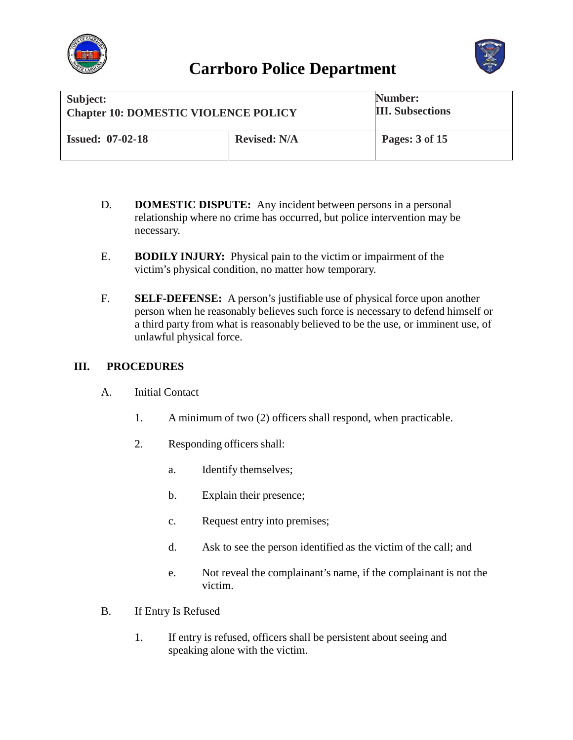



| Subject:                                    |                     | Number:                 |
|---------------------------------------------|---------------------|-------------------------|
| <b>Chapter 10: DOMESTIC VIOLENCE POLICY</b> |                     | <b>III.</b> Subsections |
| <b>Issued: 07-02-18</b>                     | <b>Revised: N/A</b> | Pages: 3 of 15          |

- D. **DOMESTIC DISPUTE:** Any incident between persons in a personal relationship where no crime has occurred, but police intervention may be necessary.
- E. **BODILY INJURY:** Physical pain to the victim or impairment of the victim's physical condition, no matter how temporary.
- F. **SELF-DEFENSE:** A person's justifiable use of physical force upon another person when he reasonably believes such force is necessary to defend himself or a third party from what is reasonably believed to be the use, or imminent use, of unlawful physical force.

#### **III. PROCEDURES**

- A. Initial Contact
	- 1. A minimum of two (2) officers shall respond, when practicable.
	- 2. Responding officers shall:
		- a. Identify themselves;
		- b. Explain their presence;
		- c. Request entry into premises;
		- d. Ask to see the person identified as the victim of the call; and
		- e. Not reveal the complainant's name, if the complainant is not the victim.
- B. If Entry Is Refused
	- 1. If entry is refused, officers shall be persistent about seeing and speaking alone with the victim.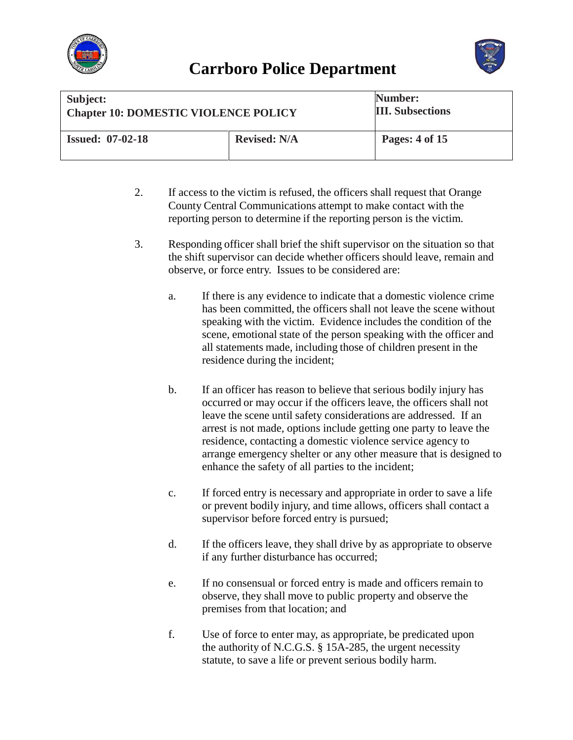



| Subject:                                    |                     | <b>Number:</b>          |
|---------------------------------------------|---------------------|-------------------------|
| <b>Chapter 10: DOMESTIC VIOLENCE POLICY</b> |                     | <b>III.</b> Subsections |
| <b>Issued: 07-02-18</b>                     | <b>Revised: N/A</b> | Pages: 4 of 15          |

- 2. If access to the victim is refused, the officers shall request that Orange County Central Communications attempt to make contact with the reporting person to determine if the reporting person is the victim.
- 3. Responding officer shall brief the shift supervisor on the situation so that the shift supervisor can decide whether officers should leave, remain and observe, or force entry. Issues to be considered are:
	- a. If there is any evidence to indicate that a domestic violence crime has been committed, the officers shall not leave the scene without speaking with the victim. Evidence includes the condition of the scene, emotional state of the person speaking with the officer and all statements made, including those of children present in the residence during the incident;
	- b. If an officer has reason to believe that serious bodily injury has occurred or may occur if the officers leave, the officers shall not leave the scene until safety considerations are addressed. If an arrest is not made, options include getting one party to leave the residence, contacting a domestic violence service agency to arrange emergency shelter or any other measure that is designed to enhance the safety of all parties to the incident;
	- c. If forced entry is necessary and appropriate in order to save a life or prevent bodily injury, and time allows, officers shall contact a supervisor before forced entry is pursued;
	- d. If the officers leave, they shall drive by as appropriate to observe if any further disturbance has occurred;
	- e. If no consensual or forced entry is made and officers remain to observe, they shall move to public property and observe the premises from that location; and
	- f. Use of force to enter may, as appropriate, be predicated upon the authority of N.C.G.S. § 15A-285, the urgent necessity statute, to save a life or prevent serious bodily harm.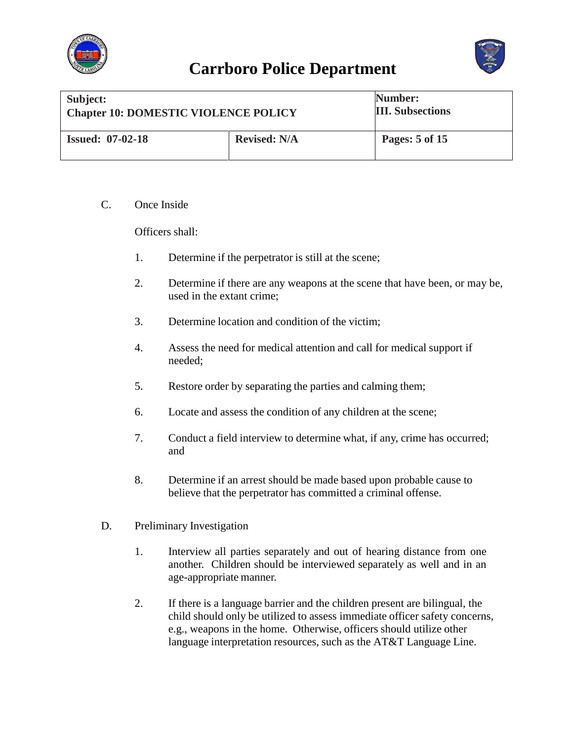![](_page_4_Picture_0.jpeg)

![](_page_4_Picture_2.jpeg)

| Subject:                                    |                     | Number:                 |
|---------------------------------------------|---------------------|-------------------------|
| <b>Chapter 10: DOMESTIC VIOLENCE POLICY</b> |                     | <b>III.</b> Subsections |
| <b>Issued: 07-02-18</b>                     | <b>Revised: N/A</b> | Pages: 5 of 15          |

C. Once Inside

Officers shall:

- 1. Determine if the perpetrator is still at the scene;
- 2. Determine if there are any weapons at the scene that have been, or may be, used in the extant crime;
- 3. Determine location and condition of the victim;
- 4. Assess the need for medical attention and call for medical support if needed;
- 5. Restore order by separating the parties and calming them;
- 6. Locate and assess the condition of any children at the scene;
- 7. Conduct a field interview to determine what, if any, crime has occurred; and
- 8. Determine if an arrest should be made based upon probable cause to believe that the perpetrator has committed a criminal offense.
- D. Preliminary Investigation
	- 1. Interview all parties separately and out of hearing distance from one another. Children should be interviewed separately as well and in an age-appropriate manner.
	- 2. If there is a language barrier and the children present are bilingual, the child should only be utilized to assess immediate officer safety concerns, e.g., weapons in the home. Otherwise, officers should utilize other language interpretation resources, such as the AT&T Language Line.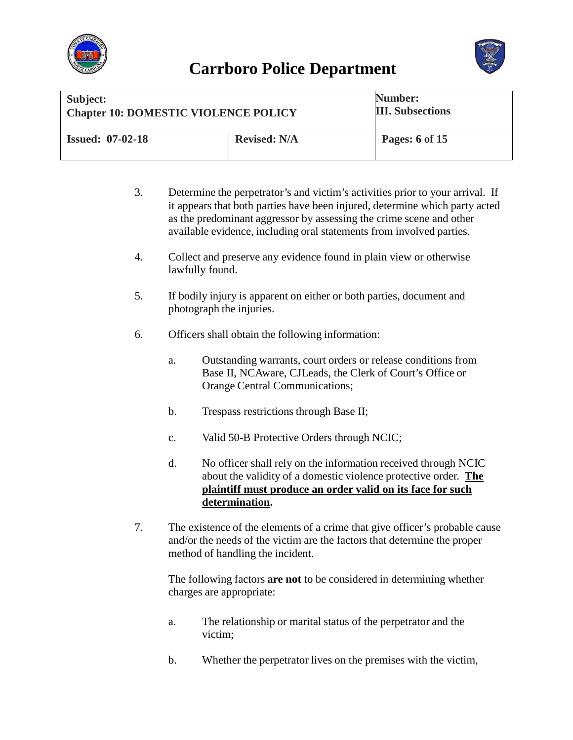![](_page_5_Picture_0.jpeg)

![](_page_5_Picture_2.jpeg)

| Subject:                                    |                     | Number:                 |
|---------------------------------------------|---------------------|-------------------------|
| <b>Chapter 10: DOMESTIC VIOLENCE POLICY</b> |                     | <b>III.</b> Subsections |
| <b>Issued: 07-02-18</b>                     | <b>Revised: N/A</b> | Pages: 6 of 15          |

- 3. Determine the perpetrator's and victim's activities prior to your arrival. If it appears that both parties have been injured, determine which party acted as the predominant aggressor by assessing the crime scene and other available evidence, including oral statements from involved parties.
- 4. Collect and preserve any evidence found in plain view or otherwise lawfully found.
- 5. If bodily injury is apparent on either or both parties, document and photograph the injuries.
- 6. Officers shall obtain the following information:
	- a. Outstanding warrants, court orders or release conditions from Base II, NCAware, CJLeads, the Clerk of Court's Office or Orange Central Communications;
	- b. Trespass restrictions through Base II;
	- c. Valid 50-B Protective Orders through NCIC;
	- d. No officer shall rely on the information received through NCIC about the validity of a domestic violence protective order. **The plaintiff must produce an order valid on its face for such determination.**
- 7. The existence of the elements of a crime that give officer's probable cause and/or the needs of the victim are the factors that determine the proper method of handling the incident.

The following factors **are not** to be considered in determining whether charges are appropriate:

- a. The relationship or marital status of the perpetrator and the victim;
- b. Whether the perpetrator lives on the premises with the victim,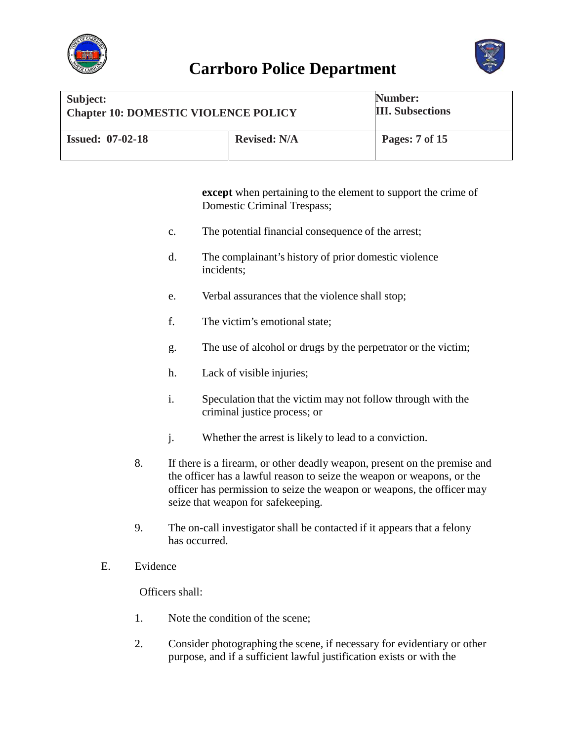![](_page_6_Picture_0.jpeg)

![](_page_6_Picture_2.jpeg)

| Subject:                                    |                     | Number:                 |
|---------------------------------------------|---------------------|-------------------------|
| <b>Chapter 10: DOMESTIC VIOLENCE POLICY</b> |                     | <b>III.</b> Subsections |
| <b>Issued: 07-02-18</b>                     | <b>Revised: N/A</b> | Pages: 7 of 15          |

**except** when pertaining to the element to support the crime of Domestic Criminal Trespass;

- c. The potential financial consequence of the arrest;
- d. The complainant's history of prior domestic violence incidents;
- e. Verbal assurances that the violence shall stop;
- f. The victim's emotional state;
- g. The use of alcohol or drugs by the perpetrator or the victim;
- h. Lack of visible injuries;
- i. Speculation that the victim may not follow through with the criminal justice process; or
- j. Whether the arrest is likely to lead to a conviction.
- 8. If there is a firearm, or other deadly weapon, present on the premise and the officer has a lawful reason to seize the weapon or weapons, or the officer has permission to seize the weapon or weapons, the officer may seize that weapon for safekeeping.
- 9. The on-call investigator shall be contacted if it appears that a felony has occurred.
- E. Evidence

Officers shall:

- 1. Note the condition of the scene;
- 2. Consider photographing the scene, if necessary for evidentiary or other purpose, and if a sufficient lawful justification exists or with the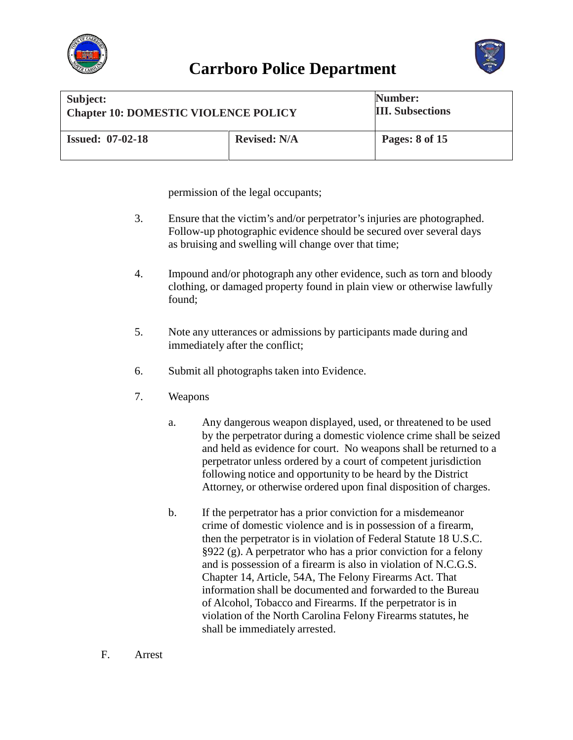![](_page_7_Picture_0.jpeg)

![](_page_7_Picture_2.jpeg)

| Subject:                                    |                     | Number:                 |
|---------------------------------------------|---------------------|-------------------------|
| <b>Chapter 10: DOMESTIC VIOLENCE POLICY</b> |                     | <b>III.</b> Subsections |
| <b>Issued: 07-02-18</b>                     | <b>Revised: N/A</b> | Pages: 8 of 15          |

permission of the legal occupants;

- 3. Ensure that the victim's and/or perpetrator's injuries are photographed. Follow-up photographic evidence should be secured over several days as bruising and swelling will change over that time;
- 4. Impound and/or photograph any other evidence, such as torn and bloody clothing, or damaged property found in plain view or otherwise lawfully found;
- 5. Note any utterances or admissions by participants made during and immediately after the conflict;
- 6. Submit all photographs taken into Evidence.
- 7. Weapons
	- a. Any dangerous weapon displayed, used, or threatened to be used by the perpetrator during a domestic violence crime shall be seized and held as evidence for court. No weapons shall be returned to a perpetrator unless ordered by a court of competent jurisdiction following notice and opportunity to be heard by the District Attorney, or otherwise ordered upon final disposition of charges.
	- b. If the perpetrator has a prior conviction for a misdemeanor crime of domestic violence and is in possession of a firearm, then the perpetrator is in violation of Federal Statute 18 U.S.C. §922 (g). A perpetrator who has a prior conviction for a felony and is possession of a firearm is also in violation of N.C.G.S. Chapter 14, Article, 54A, The Felony Firearms Act. That information shall be documented and forwarded to the Bureau of Alcohol, Tobacco and Firearms. If the perpetrator is in violation of the North Carolina Felony Firearms statutes, he shall be immediately arrested.
- F. Arrest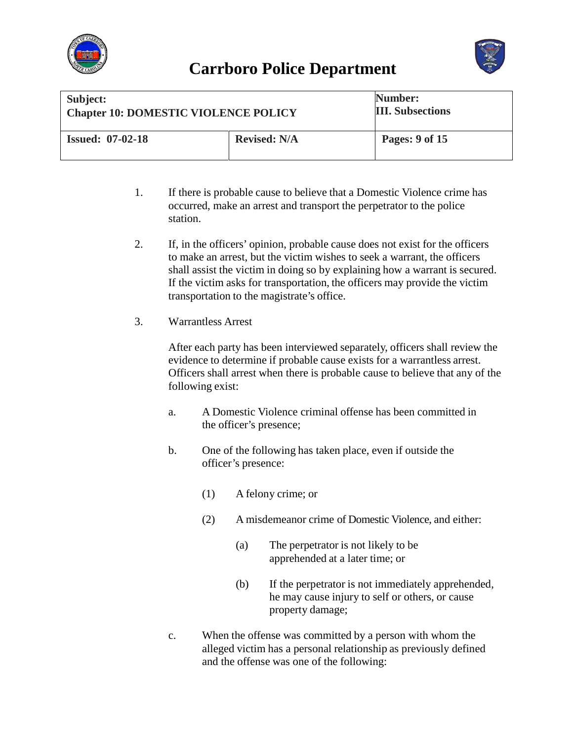![](_page_8_Picture_0.jpeg)

![](_page_8_Picture_2.jpeg)

| Subject:<br><b>Chapter 10: DOMESTIC VIOLENCE POLICY</b> |                     | Number:<br><b>III.</b> Subsections |
|---------------------------------------------------------|---------------------|------------------------------------|
| <b>Issued: 07-02-18</b>                                 | <b>Revised: N/A</b> | Pages: 9 of 15                     |

- 1. If there is probable cause to believe that a Domestic Violence crime has occurred, make an arrest and transport the perpetrator to the police station.
- 2. If, in the officers' opinion, probable cause does not exist for the officers to make an arrest, but the victim wishes to seek a warrant, the officers shall assist the victim in doing so by explaining how a warrant is secured. If the victim asks for transportation, the officers may provide the victim transportation to the magistrate's office.
- 3. Warrantless Arrest

After each party has been interviewed separately, officers shall review the evidence to determine if probable cause exists for a warrantless arrest. Officers shall arrest when there is probable cause to believe that any of the following exist:

- a. A Domestic Violence criminal offense has been committed in the officer's presence;
- b. One of the following has taken place, even if outside the officer's presence:
	- (1) A felony crime; or
	- (2) A misdemeanor crime of Domestic Violence, and either:
		- (a) The perpetrator is not likely to be apprehended at a later time; or
		- (b) If the perpetrator is not immediately apprehended, he may cause injury to self or others, or cause property damage;
- c. When the offense was committed by a person with whom the alleged victim has a personal relationship as previously defined and the offense was one of the following: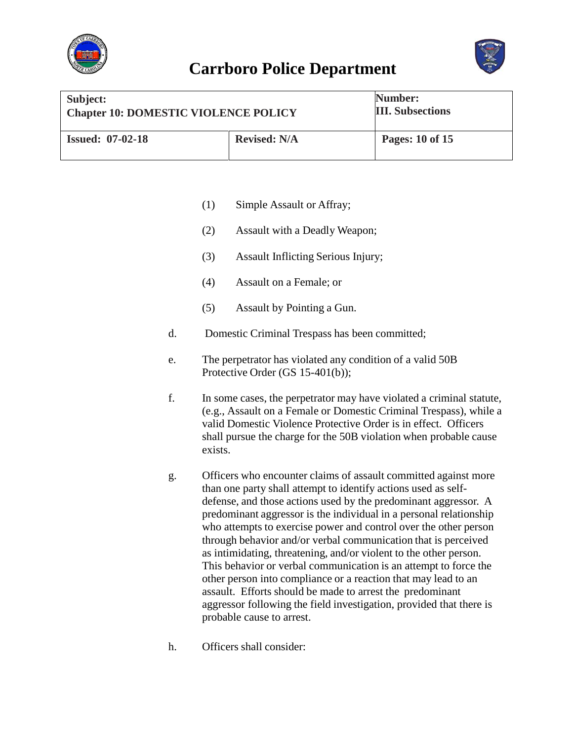![](_page_9_Picture_0.jpeg)

![](_page_9_Picture_2.jpeg)

| Subject:                                    |                     | Number:                 |
|---------------------------------------------|---------------------|-------------------------|
| <b>Chapter 10: DOMESTIC VIOLENCE POLICY</b> |                     | <b>III.</b> Subsections |
| <b>Issued: 07-02-18</b>                     | <b>Revised: N/A</b> | Pages: 10 of 15         |

- (1) Simple Assault or Affray;
- (2) Assault with a Deadly Weapon;
- (3) Assault Inflicting Serious Injury;
- (4) Assault on a Female; or
- (5) Assault by Pointing a Gun.
- d. Domestic Criminal Trespass has been committed;
- e. The perpetrator has violated any condition of a valid 50B Protective Order (GS 15-401(b));
- f. In some cases, the perpetrator may have violated a criminal statute, (e.g., Assault on a Female or Domestic Criminal Trespass), while a valid Domestic Violence Protective Order is in effect. Officers shall pursue the charge for the 50B violation when probable cause exists.
- g. Officers who encounter claims of assault committed against more than one party shall attempt to identify actions used as selfdefense, and those actions used by the predominant aggressor. A predominant aggressor is the individual in a personal relationship who attempts to exercise power and control over the other person through behavior and/or verbal communication that is perceived as intimidating, threatening, and/or violent to the other person. This behavior or verbal communication is an attempt to force the other person into compliance or a reaction that may lead to an assault. Efforts should be made to arrest the predominant aggressor following the field investigation, provided that there is probable cause to arrest.
- h. Officers shall consider: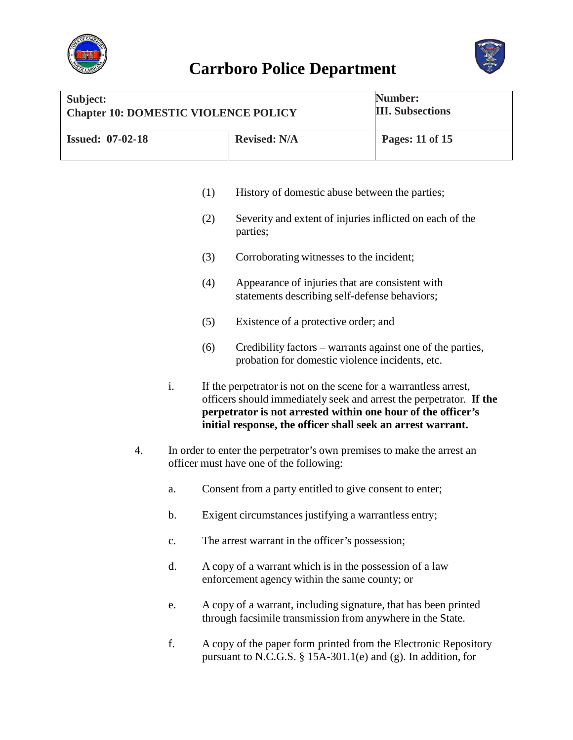![](_page_10_Picture_0.jpeg)

![](_page_10_Picture_2.jpeg)

| Subject:                                    |                     | Number:                 |
|---------------------------------------------|---------------------|-------------------------|
| <b>Chapter 10: DOMESTIC VIOLENCE POLICY</b> |                     | <b>III.</b> Subsections |
| <b>Issued: 07-02-18</b>                     | <b>Revised: N/A</b> | Pages: 11 of 15         |

- (1) History of domestic abuse between the parties;
- (2) Severity and extent of injuries inflicted on each of the parties;
- (3) Corroborating witnesses to the incident;
- (4) Appearance of injuries that are consistent with statements describing self-defense behaviors;
- (5) Existence of a protective order; and
- (6) Credibility factors warrants against one of the parties, probation for domestic violence incidents, etc.
- i. If the perpetrator is not on the scene for a warrantless arrest, officers should immediately seek and arrest the perpetrator. **If the perpetrator is not arrested within one hour of the officer's initial response, the officer shall seek an arrest warrant.**
- 4. In order to enter the perpetrator's own premises to make the arrest an officer must have one of the following:
	- a. Consent from a party entitled to give consent to enter;
	- b. Exigent circumstances justifying a warrantless entry;
	- c. The arrest warrant in the officer's possession;
	- d. A copy of a warrant which is in the possession of a law enforcement agency within the same county; or
	- e. A copy of a warrant, including signature, that has been printed through facsimile transmission from anywhere in the State.
	- f. A copy of the paper form printed from the Electronic Repository pursuant to N.C.G.S. § 15A-301.1(e) and (g). In addition, for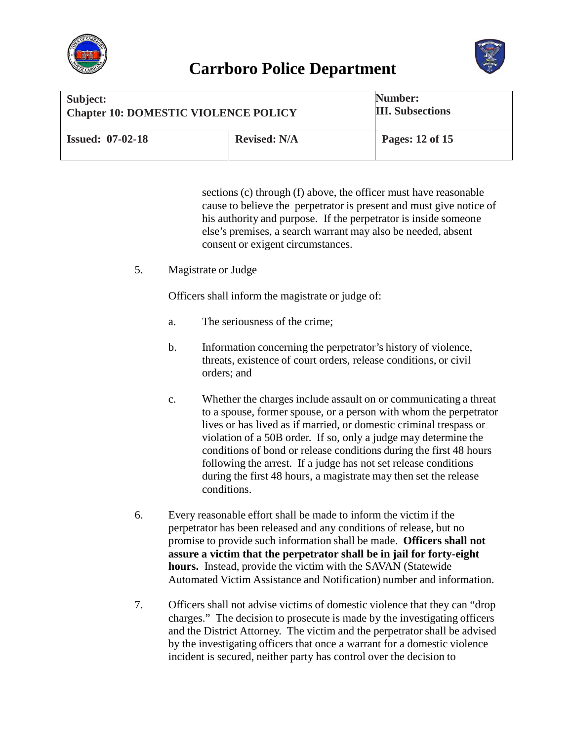![](_page_11_Picture_0.jpeg)

![](_page_11_Picture_2.jpeg)

| Subject:                                    |                     | Number:                 |
|---------------------------------------------|---------------------|-------------------------|
| <b>Chapter 10: DOMESTIC VIOLENCE POLICY</b> |                     | <b>III.</b> Subsections |
| <b>Issued: 07-02-18</b>                     | <b>Revised: N/A</b> | Pages: 12 of 15         |

sections (c) through (f) above, the officer must have reasonable cause to believe the perpetrator is present and must give notice of his authority and purpose. If the perpetrator is inside someone else's premises, a search warrant may also be needed, absent consent or exigent circumstances.

5. Magistrate or Judge

Officers shall inform the magistrate or judge of:

- a. The seriousness of the crime;
- b. Information concerning the perpetrator's history of violence, threats, existence of court orders, release conditions, or civil orders; and
- c. Whether the charges include assault on or communicating a threat to a spouse, former spouse, or a person with whom the perpetrator lives or has lived as if married, or domestic criminal trespass or violation of a 50B order. If so, only a judge may determine the conditions of bond or release conditions during the first 48 hours following the arrest. If a judge has not set release conditions during the first 48 hours, a magistrate may then set the release conditions.
- 6. Every reasonable effort shall be made to inform the victim if the perpetrator has been released and any conditions of release, but no promise to provide such information shall be made. **Officers shall not assure a victim that the perpetrator shall be in jail for forty-eight hours.** Instead, provide the victim with the SAVAN (Statewide Automated Victim Assistance and Notification) number and information.
- 7. Officers shall not advise victims of domestic violence that they can "drop charges." The decision to prosecute is made by the investigating officers and the District Attorney. The victim and the perpetrator shall be advised by the investigating officers that once a warrant for a domestic violence incident is secured, neither party has control over the decision to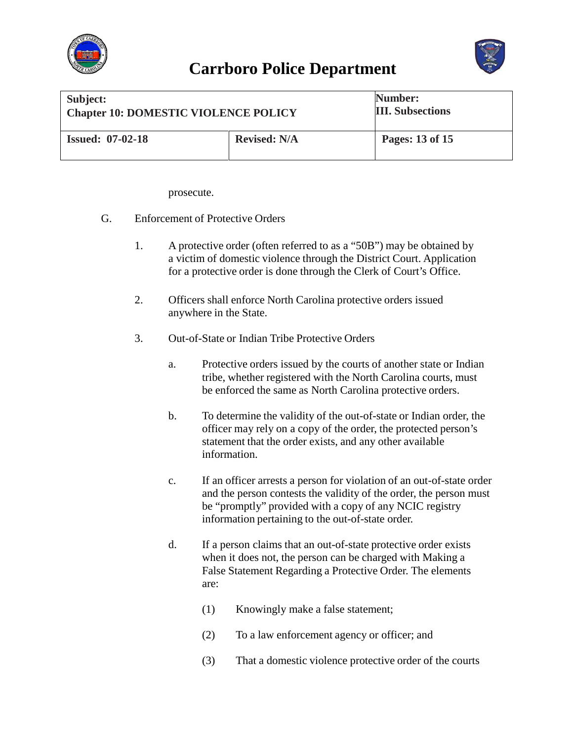![](_page_12_Picture_0.jpeg)

![](_page_12_Picture_2.jpeg)

| Subject:                                    |                     | Number:                 |
|---------------------------------------------|---------------------|-------------------------|
| <b>Chapter 10: DOMESTIC VIOLENCE POLICY</b> |                     | <b>III.</b> Subsections |
| <b>Issued: 07-02-18</b>                     | <b>Revised: N/A</b> | Pages: 13 of 15         |

prosecute.

- G. Enforcement of Protective Orders
	- 1. A protective order (often referred to as a "50B") may be obtained by a victim of domestic violence through the District Court. Application for a protective order is done through the Clerk of Court's Office.
	- 2. Officers shall enforce North Carolina protective orders issued anywhere in the State.
	- 3. Out-of-State or Indian Tribe Protective Orders
		- a. Protective orders issued by the courts of another state or Indian tribe, whether registered with the North Carolina courts, must be enforced the same as North Carolina protective orders.
		- b. To determine the validity of the out-of-state or Indian order, the officer may rely on a copy of the order, the protected person's statement that the order exists, and any other available information.
		- c. If an officer arrests a person for violation of an out-of-state order and the person contests the validity of the order, the person must be "promptly" provided with a copy of any NCIC registry information pertaining to the out-of-state order.
		- d. If a person claims that an out-of-state protective order exists when it does not, the person can be charged with Making a False Statement Regarding a Protective Order. The elements are:
			- (1) Knowingly make a false statement;
			- (2) To a law enforcement agency or officer; and
			- (3) That a domestic violence protective order of the courts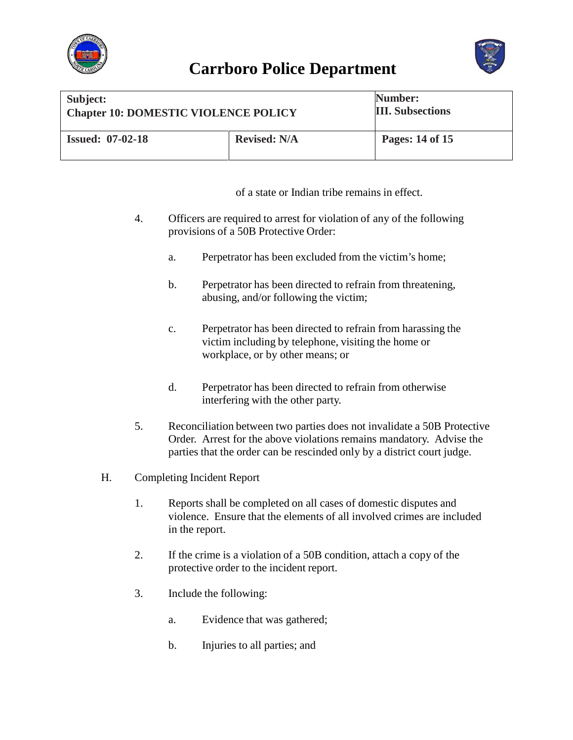![](_page_13_Picture_0.jpeg)

![](_page_13_Picture_2.jpeg)

| Subject:                                    |                     | Number:                 |
|---------------------------------------------|---------------------|-------------------------|
| <b>Chapter 10: DOMESTIC VIOLENCE POLICY</b> |                     | <b>III.</b> Subsections |
| <b>Issued: 07-02-18</b>                     | <b>Revised: N/A</b> | Pages: 14 of 15         |

of a state or Indian tribe remains in effect.

- 4. Officers are required to arrest for violation of any of the following provisions of a 50B Protective Order:
	- a. Perpetrator has been excluded from the victim's home;
	- b. Perpetrator has been directed to refrain from threatening, abusing, and/or following the victim;
	- c. Perpetrator has been directed to refrain from harassing the victim including by telephone, visiting the home or workplace, or by other means; or
	- d. Perpetrator has been directed to refrain from otherwise interfering with the other party.
- 5. Reconciliation between two parties does not invalidate a 50B Protective Order. Arrest for the above violations remains mandatory. Advise the parties that the order can be rescinded only by a district court judge.
- H. Completing Incident Report
	- 1. Reports shall be completed on all cases of domestic disputes and violence. Ensure that the elements of all involved crimes are included in the report.
	- 2. If the crime is a violation of a 50B condition, attach a copy of the protective order to the incident report.
	- 3. Include the following:
		- a. Evidence that was gathered;
		- b. Injuries to all parties; and